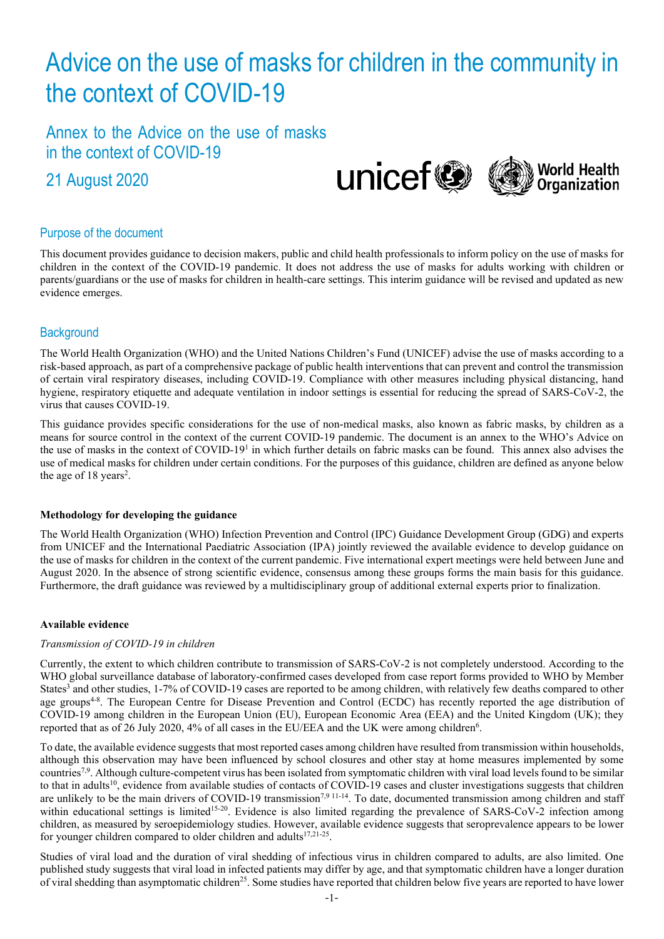# Advice on the use of masks for children in the community in the context of COVID-19

Annex to the Advice on the use of masks in the context of COVID-19

21 August 2020



## Purpose of the document

This document provides guidance to decision makers, public and child health professionals to inform policy on the use of masks for children in the context of the COVID-19 pandemic. It does not address the use of masks for adults working with children or parents/guardians or the use of masks for children in health-care settings. This interim guidance will be revised and updated as new evidence emerges.

# **Background**

The World Health Organization (WHO) and the United Nations Children's Fund (UNICEF) advise the use of masks according to a risk-based approach, as part of a comprehensive package of public health interventions that can prevent and control the transmission of certain viral respiratory diseases, including COVID-19. Compliance with other measures including physical distancing, hand hygiene, respiratory etiquette and adequate ventilation in indoor settings is essential for reducing the spread of SARS-CoV-2, the virus that causes COVID-19.

This guidance provides specific considerations for the use of non-medical masks, also known as fabric masks, by children as a means for source control in the context of the current COVID-19 pandemic. The document is an annex to the WHO's Advice on the use of masks in the context of COVID-19<sup>1</sup> in which further details on fabric masks can be found. This annex also advises the use of medical masks for children under certain conditions. For the purposes of this guidance, children are defined as anyone below the age of  $18 \text{ years}^2$ .

#### **Methodology for developing the guidance**

The World Health Organization (WHO) Infection Prevention and Control (IPC) Guidance Development Group (GDG) and experts from UNICEF and the International Paediatric Association (IPA) jointly reviewed the available evidence to develop guidance on the use of masks for children in the context of the current pandemic. Five international expert meetings were held between June and August 2020. In the absence of strong scientific evidence, consensus among these groups forms the main basis for this guidance. Furthermore, the draft guidance was reviewed by a multidisciplinary group of additional external experts prior to finalization.

## **Available evidence**

## *Transmission of COVID-19 in children*

Currently, the extent to which children contribute to transmission of SARS-CoV-2 is not completely understood. According to the WHO global surveillance database of laboratory-confirmed cases developed from case report forms provided to WHO by Member States<sup>3</sup> and other studies, 1-7% of COVID-19 cases are reported to be among children, with relatively few deaths compared to other age groups<sup>4-8</sup>. The European Centre for Disease Prevention and Control (ECDC) has recently reported the age distribution of COVID-19 among children in the European Union (EU), European Economic Area (EEA) and the United Kingdom (UK); they reported that as of 26 July 2020, 4% of all cases in the EU/EEA and the UK were among children<sup>6</sup>.

To date, the available evidence suggests that most reported cases among children have resulted from transmission within households, although this observation may have been influenced by school closures and other stay at home measures implemented by some countries<sup>7,9</sup>. Although culture-competent virus has been isolated from symptomatic children with viral load levels found to be similar to that in adults<sup>10</sup>, evidence from available studies of contacts of COVID-19 cases and cluster investigations suggests that children are unlikely to be the main drivers of COVID-19 transmission<sup>7,9 11-14</sup>. To date, documented transmission among children and staff within educational settings is limited<sup>15-20</sup>. Evidence is also limited regarding the prevalence of SARS-CoV-2 infection among children, as measured by seroepidemiology studies. However, available evidence suggests that seroprevalence appears to be lower for younger children compared to older children and adults<sup>17,21-25</sup>.

Studies of viral load and the duration of viral shedding of infectious virus in children compared to adults, are also limited. One published study suggests that viral load in infected patients may differ by age, and that symptomatic children have a longer duration of viral shedding than asymptomatic children<sup>25</sup>. Some studies have reported that children below five years are reported to have lower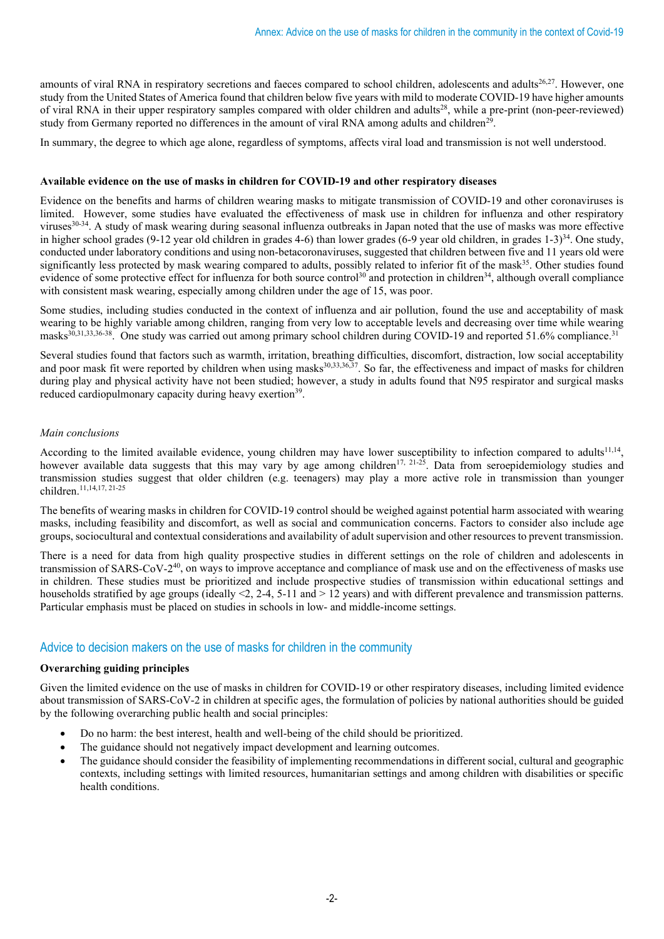amounts of viral RNA in respiratory secretions and faeces compared to school children, adolescents and adults<sup>26,27</sup>. However, one study from the United States of America found that children below five years with mild to moderate COVID-19 have higher amounts of viral RNA in their upper respiratory samples compared with older children and adults<sup>28</sup>, while a pre-print (non-peer-reviewed) study from Germany reported no differences in the amount of viral RNA among adults and children<sup>29</sup>.

In summary, the degree to which age alone, regardless of symptoms, affects viral load and transmission is not well understood.

#### **Available evidence on the use of masks in children for COVID-19 and other respiratory diseases**

Evidence on the benefits and harms of children wearing masks to mitigate transmission of COVID-19 and other coronaviruses is limited. However, some studies have evaluated the effectiveness of mask use in children for influenza and other respiratory viruses<sup>30-34</sup>. A study of mask wearing during seasonal influenza outbreaks in Japan noted that the use of masks was more effective in higher school grades (9-12 year old children in grades 4-6) than lower grades (6-9 year old children, in grades 1-3)<sup>34</sup>. One study, conducted under laboratory conditions and using non-betacoronaviruses, suggested that children between five and 11 years old were significantly less protected by mask wearing compared to adults, possibly related to inferior fit of the mask<sup>35</sup>. Other studies found evidence of some protective effect for influenza for both source control<sup>30</sup> and protection in children<sup>34</sup>, although overall compliance with consistent mask wearing, especially among children under the age of 15, was poor.

Some studies, including studies conducted in the context of influenza and air pollution, found the use and acceptability of mask wearing to be highly variable among children, ranging from very low to acceptable levels and decreasing over time while wearing masks<sup>30,31,33,36-38</sup>. One study was carried out among primary school children during COVID-19 and reported 51.6% compliance.<sup>31</sup>

Several studies found that factors such as warmth, irritation, breathing difficulties, discomfort, distraction, low social acceptability and poor mask fit were reported by children when using masks<sup>30,33,36,37</sup>. So far, the effectiveness and impact of masks for children during play and physical activity have not been studied; however, a study in adults found that N95 respirator and surgical masks reduced cardiopulmonary capacity during heavy exertion<sup>39</sup>.

#### *Main conclusions*

According to the limited available evidence, young children may have lower susceptibility to infection compared to adults $11,14$ , however available data suggests that this may vary by age among children<sup>17, 21-25</sup>. Data from seroepidemiology studies and transmission studies suggest that older children (e.g. teenagers) may play a more active role in transmission than younger children.11,14,17, 21-25

The benefits of wearing masks in children for COVID-19 control should be weighed against potential harm associated with wearing masks, including feasibility and discomfort, as well as social and communication concerns. Factors to consider also include age groups, sociocultural and contextual considerations and availability of adult supervision and other resources to prevent transmission.

There is a need for data from high quality prospective studies in different settings on the role of children and adolescents in transmission of SARS-CoV-2<sup>40</sup>, on ways to improve acceptance and compliance of mask use and on the effectiveness of masks use in children. These studies must be prioritized and include prospective studies of transmission within educational settings and households stratified by age groups (ideally  $\leq 2$ , 2-4, 5-11 and  $> 12$  years) and with different prevalence and transmission patterns. Particular emphasis must be placed on studies in schools in low- and middle-income settings.

# Advice to decision makers on the use of masks for children in the community

#### **Overarching guiding principles**

Given the limited evidence on the use of masks in children for COVID-19 or other respiratory diseases, including limited evidence about transmission of SARS-CoV-2 in children at specific ages, the formulation of policies by national authorities should be guided by the following overarching public health and social principles:

- Do no harm: the best interest, health and well-being of the child should be prioritized.
- The guidance should not negatively impact development and learning outcomes.
- The guidance should consider the feasibility of implementing recommendations in different social, cultural and geographic contexts, including settings with limited resources, humanitarian settings and among children with disabilities or specific health conditions.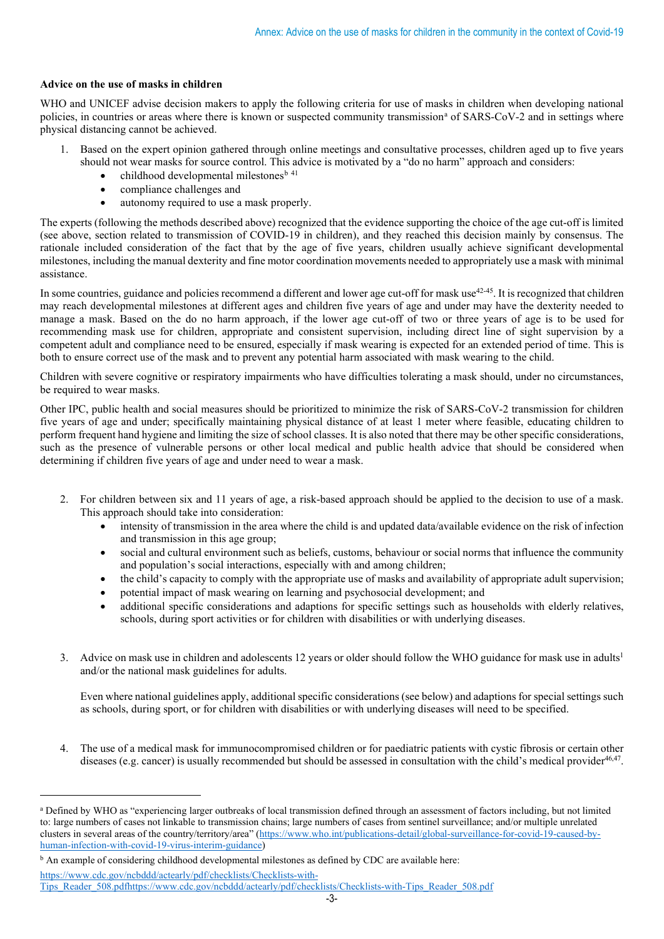### **Advice on the use of masks in children**

WHO and UNICEF advise decision makers to apply the following criteria for use of masks in children when developing national policies, in countries or [a](#page-2-0)reas where there is known or suspected community transmission<sup>a</sup> of SARS-CoV-2 and in settings where physical distancing cannot be achieved.

- 1. Based on the expert opinion gathered through online meetings and consultative processes, children aged up to five years should not wear masks for source control. This advice is motivated by a "do no harm" approach and considers:
	- childhood developmental milestones<sup>[b](#page-2-1) 41</sup>
	- compliance challenges and
	- autonomy required to use a mask properly.

The experts (following the methods described above) recognized that the evidence supporting the choice of the age cut-off is limited (see above, section related to transmission of COVID-19 in children), and they reached this decision mainly by consensus. The rationale included consideration of the fact that by the age of five years, children usually achieve significant developmental milestones, including the manual dexterity and fine motor coordination movements needed to appropriately use a mask with minimal assistance.

In some countries, guidance and policies recommend a different and lower age cut-off for mask use<sup>42-45</sup>. It is recognized that children may reach developmental milestones at different ages and children five years of age and under may have the dexterity needed to manage a mask. Based on the do no harm approach, if the lower age cut-off of two or three years of age is to be used for recommending mask use for children, appropriate and consistent supervision, including direct line of sight supervision by a competent adult and compliance need to be ensured, especially if mask wearing is expected for an extended period of time. This is both to ensure correct use of the mask and to prevent any potential harm associated with mask wearing to the child.

Children with severe cognitive or respiratory impairments who have difficulties tolerating a mask should, under no circumstances, be required to wear masks.

Other IPC, public health and social measures should be prioritized to minimize the risk of SARS-CoV-2 transmission for children five years of age and under; specifically maintaining physical distance of at least 1 meter where feasible, educating children to perform frequent hand hygiene and limiting the size of school classes. It is also noted that there may be other specific considerations, such as the presence of vulnerable persons or other local medical and public health advice that should be considered when determining if children five years of age and under need to wear a mask.

- 2. For children between six and 11 years of age, a risk-based approach should be applied to the decision to use of a mask. This approach should take into consideration:
	- intensity of transmission in the area where the child is and updated data/available evidence on the risk of infection and transmission in this age group;
	- social and cultural environment such as beliefs, customs, behaviour or social norms that influence the community and population's social interactions, especially with and among children;
	- the child's capacity to comply with the appropriate use of masks and availability of appropriate adult supervision;
	- potential impact of mask wearing on learning and psychosocial development; and
	- additional specific considerations and adaptions for specific settings such as households with elderly relatives, schools, during sport activities or for children with disabilities or with underlying diseases.
- 3. Advice on mask use in children and adolescents 12 years or older should follow the WHO guidance for mask use in adults<sup>1</sup> and/or the national mask guidelines for adults.

Even where national guidelines apply, additional specific considerations (see below) and adaptions for special settings such as schools, during sport, or for children with disabilities or with underlying diseases will need to be specified.

4. The use of a medical mask for immunocompromised children or for paediatric patients with cystic fibrosis or certain other diseases (e.g. cancer) is usually recommended but should be assessed in consultation with the child's medical provider<sup>46,47</sup>.

[https://www.cdc.gov/ncbddd/actearly/pdf/checklists/Checklists-with-](https://www.cdc.gov/ncbddd/actearly/pdf/checklists/Checklists-with-Tips_Reader_508.pdf)

<span id="page-2-0"></span><sup>a</sup> Defined by WHO as "experiencing larger outbreaks of local transmission defined through an assessment of factors including, but not limited to: large numbers of cases not linkable to transmission chains; large numbers of cases from sentinel surveillance; and/or multiple unrelated clusters in several areas of the country/territory/area" [\(https://www.who.int/publications-detail/global-surveillance-for-covid-19-caused-by](https://www.who.int/publications-detail/global-surveillance-for-covid-19-caused-by-human-infection-with-covid-19-virus-interim-guidance)[human-infection-with-covid-19-virus-interim-guidance\)](https://www.who.int/publications-detail/global-surveillance-for-covid-19-caused-by-human-infection-with-covid-19-virus-interim-guidance)

<span id="page-2-1"></span><sup>&</sup>lt;sup>b</sup> An example of considering childhood developmental milestones as defined by CDC are available here:

[Tips\\_Reader\\_508.pdf](https://www.cdc.gov/ncbddd/actearly/pdf/checklists/Checklists-with-Tips_Reader_508.pdf)[https://www.cdc.gov/ncbddd/actearly/pdf/checklists/Checklists-with-Tips\\_Reader\\_508.pdf](about:blank)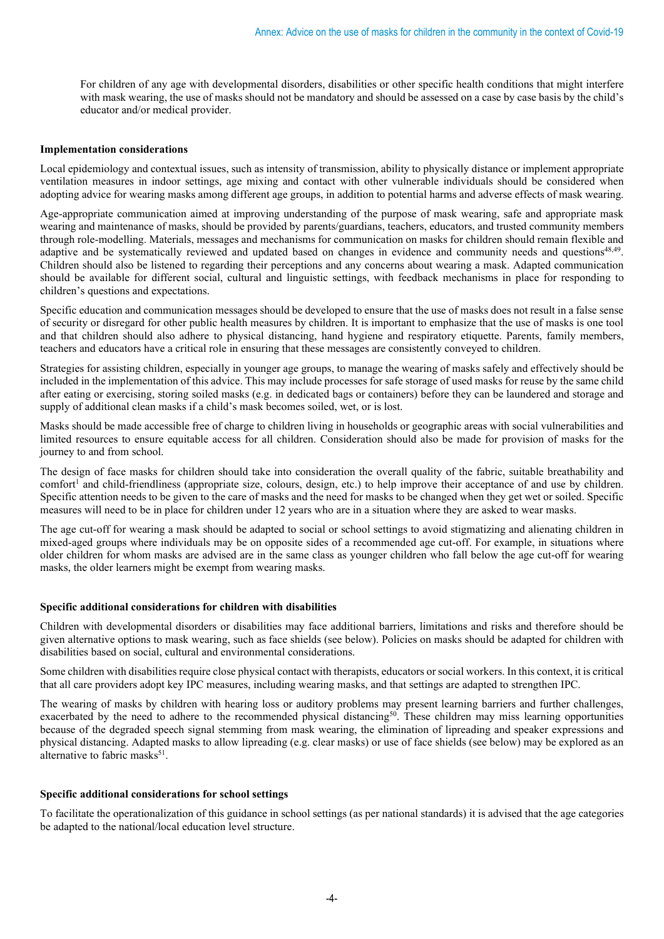For children of any age with developmental disorders, disabilities or other specific health conditions that might interfere with mask wearing, the use of masks should not be mandatory and should be assessed on a case by case basis by the child's educator and/or medical provider.

#### **Implementation considerations**

Local epidemiology and contextual issues, such as intensity of transmission, ability to physically distance or implement appropriate ventilation measures in indoor settings, age mixing and contact with other vulnerable individuals should be considered when adopting advice for wearing masks among different age groups, in addition to potential harms and adverse effects of mask wearing.

Age-appropriate communication aimed at improving understanding of the purpose of mask wearing, safe and appropriate mask wearing and maintenance of masks, should be provided by parents/guardians, teachers, educators, and trusted community members through role-modelling. Materials, messages and mechanisms for communication on masks for children should remain flexible and adaptive and be systematically reviewed and updated based on changes in evidence and community needs and questions<sup>48,49</sup>. Children should also be listened to regarding their perceptions and any concerns about wearing a mask. Adapted communication should be available for different social, cultural and linguistic settings, with feedback mechanisms in place for responding to children's questions and expectations.

Specific education and communication messages should be developed to ensure that the use of masks does not result in a false sense of security or disregard for other public health measures by children. It is important to emphasize that the use of masks is one tool and that children should also adhere to physical distancing, hand hygiene and respiratory etiquette. Parents, family members, teachers and educators have a critical role in ensuring that these messages are consistently conveyed to children.

Strategies for assisting children, especially in younger age groups, to manage the wearing of masks safely and effectively should be included in the implementation of this advice. This may include processes for safe storage of used masks for reuse by the same child after eating or exercising, storing soiled masks (e.g. in dedicated bags or containers) before they can be laundered and storage and supply of additional clean masks if a child's mask becomes soiled, wet, or is lost.

Masks should be made accessible free of charge to children living in households or geographic areas with social vulnerabilities and limited resources to ensure equitable access for all children. Consideration should also be made for provision of masks for the journey to and from school.

The design of face masks for children should take into consideration the overall quality of the fabric, suitable breathability and  $control$  and child-friendliness (appropriate size, colours, design, etc.) to help improve their acceptance of and use by children. Specific attention needs to be given to the care of masks and the need for masks to be changed when they get wet or soiled. Specific measures will need to be in place for children under 12 years who are in a situation where they are asked to wear masks.

The age cut-off for wearing a mask should be adapted to social or school settings to avoid stigmatizing and alienating children in mixed-aged groups where individuals may be on opposite sides of a recommended age cut-off. For example, in situations where older children for whom masks are advised are in the same class as younger children who fall below the age cut-off for wearing masks, the older learners might be exempt from wearing masks.

#### **Specific additional considerations for children with disabilities**

Children with developmental disorders or disabilities may face additional barriers, limitations and risks and therefore should be given alternative options to mask wearing, such as face shields (see below). Policies on masks should be adapted for children with disabilities based on social, cultural and environmental considerations.

Some children with disabilities require close physical contact with therapists, educators or social workers. In this context, it is critical that all care providers adopt key IPC measures, including wearing masks, and that settings are adapted to strengthen IPC.

The wearing of masks by children with hearing loss or auditory problems may present learning barriers and further challenges, exacerbated by the need to adhere to the recommended physical distancing<sup>50</sup>. These children may miss learning opportunities because of the degraded speech signal stemming from mask wearing, the elimination of lipreading and speaker expressions and physical distancing. Adapted masks to allow lipreading (e.g. clear masks) or use of face shields (see below) may be explored as an alternative to fabric masks<sup>51</sup>.

#### **Specific additional considerations for school settings**

To facilitate the operationalization of this guidance in school settings (as per national standards) it is advised that the age categories be adapted to the national/local education level structure.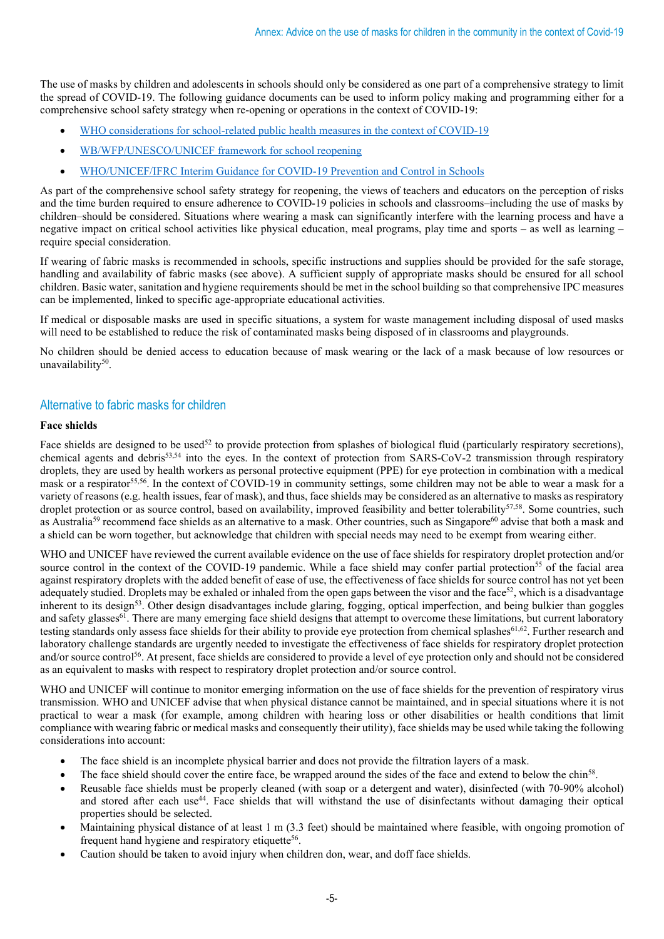The use of masks by children and adolescents in schools should only be considered as one part of a comprehensive strategy to limit the spread of COVID-19. The following guidance documents can be used to inform policy making and programming either for a comprehensive school safety strategy when re-opening or operations in the context of COVID-19:

- [WHO considerations for school-related public health measures in the context of COVID-19](https://www.who.int/publications/i/item/considerations-for-school-related-public-health-measures-in-the-context-of-covid-19)
- [WB/WFP/UNESCO/UNICEF framework for school reopening](https://www.unicef.org/documents/framework-reopening-schools)
- [WHO/UNICEF/IFRC Interim Guidance for COVID-19 Prevention and Control in Schools](https://interagencystandingcommittee.org/system/files/2020-03/UNICEF_SCHOOL_GUIDANCE_COVID19_V5_ENGLISH_7PM%20MONDAY%2023%20MARCH.pdf)

As part of the comprehensive school safety strategy for reopening, the views of teachers and educators on the perception of risks and the time burden required to ensure adherence to COVID-19 policies in schools and classrooms–including the use of masks by children–should be considered. Situations where wearing a mask can significantly interfere with the learning process and have a negative impact on critical school activities like physical education, meal programs, play time and sports – as well as learning – require special consideration.

If wearing of fabric masks is recommended in schools, specific instructions and supplies should be provided for the safe storage, handling and availability of fabric masks (see above). A sufficient supply of appropriate masks should be ensured for all school children. Basic water, sanitation and hygiene requirements should be met in the school building so that comprehensive IPC measures can be implemented, linked to specific age-appropriate educational activities.

If medical or disposable masks are used in specific situations, a system for waste management including disposal of used masks will need to be established to reduce the risk of contaminated masks being disposed of in classrooms and playgrounds.

No children should be denied access to education because of mask wearing or the lack of a mask because of low resources or unavailability<sup>50</sup>.

## Alternative to fabric masks for children

#### **Face shields**

Face shields are designed to be used<sup>52</sup> to provide protection from splashes of biological fluid (particularly respiratory secretions), chemical agents and debris53,54 into the eyes. In the context of protection from SARS-CoV-2 transmission through respiratory droplets, they are used by health workers as personal protective equipment (PPE) for eye protection in combination with a medical mask or a respirator<sup>55,56</sup>. In the context of COVID-19 in community settings, some children may not be able to wear a mask for a variety of reasons (e.g. health issues, fear of mask), and thus, face shields may be considered as an alternative to masks asrespiratory droplet protection or as source control, based on availability, improved feasibility and better tolerability<sup>57,58</sup>. Some countries, such as Australia<sup>59</sup> recommend face shields as an alternative to a mask. Other countries, such as Singapore<sup>60</sup> advise that both a mask and a shield can be worn together, but acknowledge that children with special needs may need to be exempt from wearing either.

WHO and UNICEF have reviewed the current available evidence on the use of face shields for respiratory droplet protection and/or source control in the context of the COVID-19 pandemic. While a face shield may confer partial protection<sup>55</sup> of the facial area against respiratory droplets with the added benefit of ease of use, the effectiveness of face shields for source control has not yet been adequately studied. Droplets may be exhaled or inhaled from the open gaps between the visor and the face<sup>52</sup>, which is a disadvantage inherent to its design<sup>53</sup>. Other design disadvantages include glaring, fogging, optical imperfection, and being bulkier than goggles and safety glasses<sup>61</sup>. There are many emerging face shield designs that attempt to overcome these limitations, but current laboratory testing standards only assess face shields for their ability to provide eye protection from chemical splashes<sup>61,62</sup>. Further research and laboratory challenge standards are urgently needed to investigate the effectiveness of face shields for respiratory droplet protection and/or source control<sup>56</sup>. At present, face shields are considered to provide a level of eye protection only and should not be considered as an equivalent to masks with respect to respiratory droplet protection and/or source control.

WHO and UNICEF will continue to monitor emerging information on the use of face shields for the prevention of respiratory virus transmission. WHO and UNICEF advise that when physical distance cannot be maintained, and in special situations where it is not practical to wear a mask (for example, among children with hearing loss or other disabilities or health conditions that limit compliance with wearing fabric or medical masks and consequently their utility), face shields may be used while taking the following considerations into account:

- The face shield is an incomplete physical barrier and does not provide the filtration layers of a mask.
- The face shield should cover the entire face, be wrapped around the sides of the face and extend to below the chin<sup>58</sup>.
- Reusable face shields must be properly cleaned (with soap or a detergent and water), disinfected (with 70-90% alcohol) and stored after each use<sup>44</sup>. Face shields that will withstand the use of disinfectants without damaging their optical properties should be selected.
- Maintaining physical distance of at least 1 m (3.3 feet) should be maintained where feasible, with ongoing promotion of frequent hand hygiene and respiratory etiquette<sup>56</sup>.
- Caution should be taken to avoid injury when children don, wear, and doff face shields.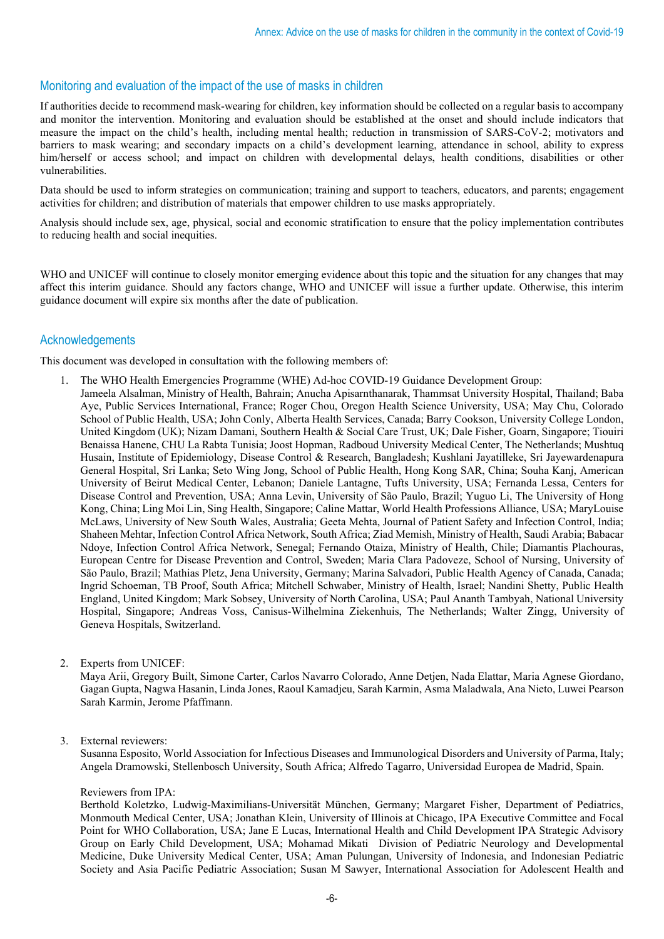# Monitoring and evaluation of the impact of the use of masks in children

If authorities decide to recommend mask-wearing for children, key information should be collected on a regular basis to accompany and monitor the intervention. Monitoring and evaluation should be established at the onset and should include indicators that measure the impact on the child's health, including mental health; reduction in transmission of SARS-CoV-2; motivators and barriers to mask wearing; and secondary impacts on a child's development learning, attendance in school, ability to express him/herself or access school; and impact on children with developmental delays, health conditions, disabilities or other vulnerabilities.

Data should be used to inform strategies on communication; training and support to teachers, educators, and parents; engagement activities for children; and distribution of materials that empower children to use masks appropriately.

Analysis should include sex, age, physical, social and economic stratification to ensure that the policy implementation contributes to reducing health and social inequities.

WHO and UNICEF will continue to closely monitor emerging evidence about this topic and the situation for any changes that may affect this interim guidance. Should any factors change, WHO and UNICEF will issue a further update. Otherwise, this interim guidance document will expire six months after the date of publication.

## Acknowledgements

This document was developed in consultation with the following members of:

- 1. The WHO Health Emergencies Programme (WHE) Ad-hoc COVID-19 Guidance Development Group: Jameela Alsalman, Ministry of Health, Bahrain; Anucha Apisarnthanarak, Thammsat University Hospital, Thailand; Baba Aye, Public Services International, France; Roger Chou, Oregon Health Science University, USA; May Chu, Colorado School of Public Health, USA; John Conly, Alberta Health Services, Canada; Barry Cookson, University College London, United Kingdom (UK); Nizam Damani, Southern Health & Social Care Trust, UK; Dale Fisher, Goarn, Singapore; Tiouiri Benaissa Hanene, CHU La Rabta Tunisia; Joost Hopman, Radboud University Medical Center, The Netherlands; Mushtuq Husain, Institute of Epidemiology, Disease Control & Research, Bangladesh; Kushlani Jayatilleke, Sri Jayewardenapura General Hospital, Sri Lanka; Seto Wing Jong, School of Public Health, Hong Kong SAR, China; Souha Kanj, American University of Beirut Medical Center, Lebanon; Daniele Lantagne, Tufts University, USA; Fernanda Lessa, Centers for Disease Control and Prevention, USA; Anna Levin, University of São Paulo, Brazil; Yuguo Li, The University of Hong Kong, China; Ling Moi Lin, Sing Health, Singapore; Caline Mattar, World Health Professions Alliance, USA; MaryLouise McLaws, University of New South Wales, Australia; Geeta Mehta, Journal of Patient Safety and Infection Control, India; Shaheen Mehtar, Infection Control Africa Network, South Africa; Ziad Memish, Ministry of Health, Saudi Arabia; Babacar Ndoye, Infection Control Africa Network, Senegal; Fernando Otaiza, Ministry of Health, Chile; Diamantis Plachouras, European Centre for Disease Prevention and Control, Sweden; Maria Clara Padoveze, School of Nursing, University of São Paulo, Brazil; Mathias Pletz, Jena University, Germany; Marina Salvadori, Public Health Agency of Canada, Canada; Ingrid Schoeman, TB Proof, South Africa; Mitchell Schwaber, Ministry of Health, Israel; Nandini Shetty, Public Health England, United Kingdom; Mark Sobsey, University of North Carolina, USA; Paul Ananth Tambyah, National University Hospital, Singapore; Andreas Voss, Canisus-Wilhelmina Ziekenhuis, The Netherlands; Walter Zingg, University of Geneva Hospitals, Switzerland.
- 2. Experts from UNICEF:

Maya Arii, Gregory Built, Simone Carter, Carlos Navarro Colorado, Anne Detjen, Nada Elattar, Maria Agnese Giordano, Gagan Gupta, Nagwa Hasanin, Linda Jones, Raoul Kamadjeu, Sarah Karmin, Asma Maladwala, Ana Nieto, Luwei Pearson Sarah Karmin, Jerome Pfaffmann.

#### 3. External reviewers:

Susanna Esposito, World Association for Infectious Diseases and Immunological Disorders and University of Parma, Italy; Angela Dramowski, Stellenbosch University, South Africa; Alfredo Tagarro, Universidad Europea de Madrid, Spain.

#### Reviewers from IPA:

Berthold Koletzko, Ludwig-Maximilians-Universität München, Germany; Margaret Fisher, Department of Pediatrics, Monmouth Medical Center, USA; Jonathan Klein, University of Illinois at Chicago, IPA Executive Committee and Focal Point for WHO Collaboration, USA; Jane E Lucas, International Health and Child Development IPA Strategic Advisory Group on Early Child Development, USA; Mohamad Mikati Division of Pediatric Neurology and Developmental Medicine, Duke University Medical Center, USA; Aman Pulungan, University of Indonesia, and Indonesian Pediatric Society and Asia Pacific Pediatric Association; Susan M Sawyer, International Association for Adolescent Health and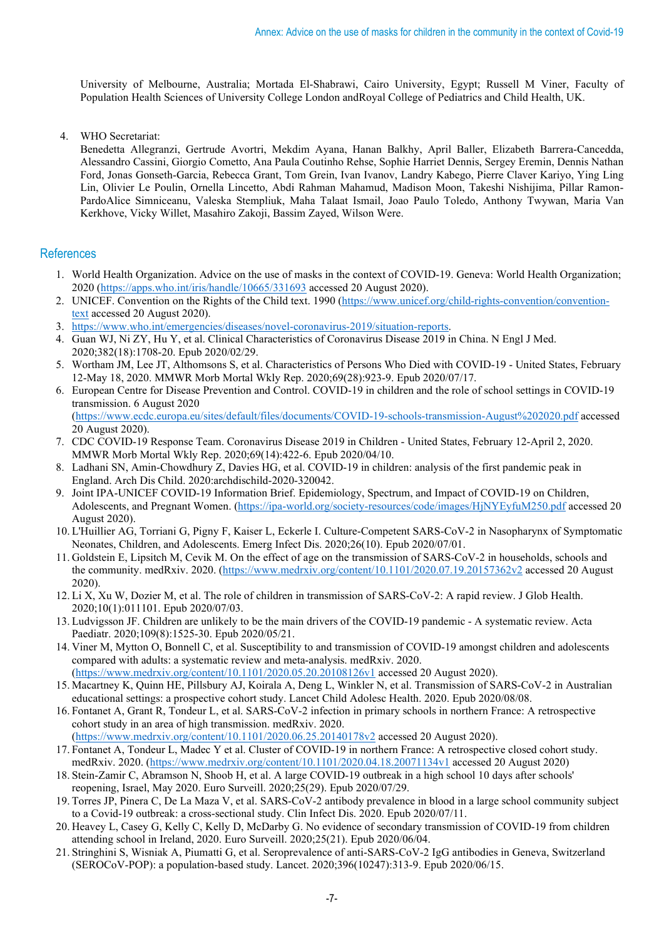University of Melbourne, Australia; Mortada El-Shabrawi, Cairo University, Egypt; Russell M Viner, Faculty of Population Health Sciences of University College London andRoyal College of Pediatrics and Child Health, UK.

4. WHO Secretariat:

Benedetta Allegranzi, Gertrude Avortri, Mekdim Ayana, Hanan Balkhy, April Baller, Elizabeth Barrera-Cancedda, Alessandro Cassini, Giorgio Cometto, Ana Paula Coutinho Rehse, Sophie Harriet Dennis, Sergey Eremin, Dennis Nathan Ford, Jonas Gonseth-Garcia, Rebecca Grant, Tom Grein, Ivan Ivanov, Landry Kabego, Pierre Claver Kariyo, Ying Ling Lin, Olivier Le Poulin, Ornella Lincetto, Abdi Rahman Mahamud, Madison Moon, Takeshi Nishijima, Pillar Ramon-PardoAlice Simniceanu, Valeska Stempliuk, Maha Talaat Ismail, Joao Paulo Toledo, Anthony Twywan, Maria Van Kerkhove, Vicky Willet, Masahiro Zakoji, Bassim Zayed, Wilson Were.

## **References**

- 1. World Health Organization. Advice on the use of masks in the context of COVID-19. Geneva: World Health Organization; 2020 [\(https://apps.who.int/iris/handle/10665/331693](https://apps.who.int/iris/handle/10665/331693) accessed 20 August 2020).
- 2. UNICEF. Convention on the Rights of the Child text. 1990 [\(https://www.unicef.org/child-rights-convention/convention](https://www.unicef.org/child-rights-convention/convention-text)[text](https://www.unicef.org/child-rights-convention/convention-text) accessed 20 August 2020).
- 3. [https://www.who.int/emergencies/diseases/novel-coronavirus-2019/situation-reports.](https://www.who.int/emergencies/diseases/novel-coronavirus-2019/situation-reports)
- 4. Guan WJ, Ni ZY, Hu Y, et al. Clinical Characteristics of Coronavirus Disease 2019 in China. N Engl J Med. 2020;382(18):1708-20. Epub 2020/02/29.
- 5. Wortham JM, Lee JT, Althomsons S, et al. Characteristics of Persons Who Died with COVID-19 United States, February 12-May 18, 2020. MMWR Morb Mortal Wkly Rep. 2020;69(28):923-9. Epub 2020/07/17.
- 6. European Centre for Disease Prevention and Control. COVID-19 in children and the role of school settings in COVID-19 transmission. 6 August 2020 [\(https://www.ecdc.europa.eu/sites/default/files/documents/COVID-19-schools-transmission-August%202020.pdf](https://www.ecdc.europa.eu/sites/default/files/documents/COVID-19-schools-transmission-August%202020.pdf) accessed 20 August 2020).
- 7. CDC COVID-19 Response Team. Coronavirus Disease 2019 in Children United States, February 12-April 2, 2020. MMWR Morb Mortal Wkly Rep. 2020;69(14):422-6. Epub 2020/04/10.
- 8. Ladhani SN, Amin-Chowdhury Z, Davies HG, et al. COVID-19 in children: analysis of the first pandemic peak in England. Arch Dis Child. 2020:archdischild-2020-320042.
- 9. Joint IPA-UNICEF COVID-19 Information Brief. Epidemiology, Spectrum, and Impact of COVID-19 on Children, Adolescents, and Pregnant Women. [\(https://ipa-world.org/society-resources/code/images/HjNYEyfuM250.pdf](https://ipa-world.org/society-resources/code/images/HjNYEyfuM250.pdf) accessed 20 August 2020).
- 10. L'Huillier AG, Torriani G, Pigny F, Kaiser L, Eckerle I. Culture-Competent SARS-CoV-2 in Nasopharynx of Symptomatic Neonates, Children, and Adolescents. Emerg Infect Dis. 2020;26(10). Epub 2020/07/01.
- 11. Goldstein E, Lipsitch M, Cevik M. On the effect of age on the transmission of SARS-CoV-2 in households, schools and the community. medRxiv. 2020. [\(https://www.medrxiv.org/content/10.1101/2020.07.19.20157362v2](https://www.medrxiv.org/content/10.1101/2020.07.19.20157362v2) accessed 20 August 2020).
- 12. Li X, Xu W, Dozier M, et al. The role of children in transmission of SARS-CoV-2: A rapid review. J Glob Health. 2020;10(1):011101. Epub 2020/07/03.
- 13. Ludvigsson JF. Children are unlikely to be the main drivers of the COVID-19 pandemic A systematic review. Acta Paediatr. 2020;109(8):1525-30. Epub 2020/05/21.
- 14. Viner M, Mytton O, Bonnell C, et al. Susceptibility to and transmission of COVID-19 amongst children and adolescents compared with adults: a systematic review and meta-analysis. medRxiv. 2020. [\(https://www.medrxiv.org/content/10.1101/2020.05.20.20108126v1](https://www.medrxiv.org/content/10.1101/2020.05.20.20108126v1) accessed 20 August 2020).
- 15. Macartney K, Quinn HE, Pillsbury AJ, Koirala A, Deng L, Winkler N, et al. Transmission of SARS-CoV-2 in Australian educational settings: a prospective cohort study. Lancet Child Adolesc Health. 2020. Epub 2020/08/08.
- 16. Fontanet A, Grant R, Tondeur L, et al. SARS-CoV-2 infection in primary schools in northern France: A retrospective cohort study in an area of high transmission. medRxiv. 2020.
- [\(https://www.medrxiv.org/content/10.1101/2020.06.25.20140178v2](https://www.medrxiv.org/content/10.1101/2020.06.25.20140178v2) accessed 20 August 2020). 17. Fontanet A, Tondeur L, Madec Y et al. Cluster of COVID-19 in northern France: A retrospective closed cohort study. medRxiv. 2020. [\(https://www.medrxiv.org/content/10.1101/2020.04.18.20071134v1](https://www.medrxiv.org/content/10.1101/2020.04.18.20071134v1) accessed 20 August 2020)
- 18. Stein-Zamir C, Abramson N, Shoob H, et al. A large COVID-19 outbreak in a high school 10 days after schools' reopening, Israel, May 2020. Euro Surveill. 2020;25(29). Epub 2020/07/29.
- 19. Torres JP, Pinera C, De La Maza V, et al. SARS-CoV-2 antibody prevalence in blood in a large school community subject to a Covid-19 outbreak: a cross-sectional study. Clin Infect Dis. 2020. Epub 2020/07/11.
- 20. Heavey L, Casey G, Kelly C, Kelly D, McDarby G. No evidence of secondary transmission of COVID-19 from children attending school in Ireland, 2020. Euro Surveill. 2020;25(21). Epub 2020/06/04.
- 21. Stringhini S, Wisniak A, Piumatti G, et al. Seroprevalence of anti-SARS-CoV-2 IgG antibodies in Geneva, Switzerland (SEROCoV-POP): a population-based study. Lancet. 2020;396(10247):313-9. Epub 2020/06/15.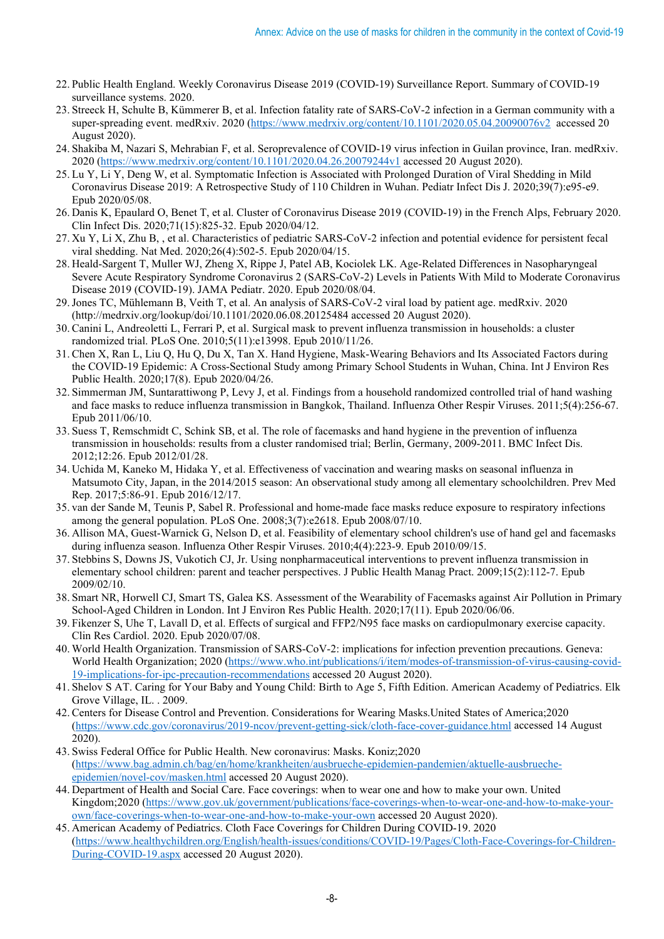- 22. Public Health England. Weekly Coronavirus Disease 2019 (COVID-19) Surveillance Report. Summary of COVID-19 surveillance systems. 2020.
- 23. Streeck H, Schulte B, Kümmerer B, et al. Infection fatality rate of SARS-CoV-2 infection in a German community with a super-spreading event. medRxiv. 2020 [\(https://www.medrxiv.org/content/10.1101/2020.05.04.20090076v2](https://www.medrxiv.org/content/10.1101/2020.05.04.20090076v2) accessed 20 August 2020).
- 24. Shakiba M, Nazari S, Mehrabian F, et al. Seroprevalence of COVID-19 virus infection in Guilan province, Iran. medRxiv. 2020 [\(https://www.medrxiv.org/content/10.1101/2020.04.26.20079244v1](https://www.medrxiv.org/content/10.1101/2020.04.26.20079244v1) accessed 20 August 2020).
- 25. Lu Y, Li Y, Deng W, et al. Symptomatic Infection is Associated with Prolonged Duration of Viral Shedding in Mild Coronavirus Disease 2019: A Retrospective Study of 110 Children in Wuhan. Pediatr Infect Dis J. 2020;39(7):e95-e9. Epub 2020/05/08.
- 26. Danis K, Epaulard O, Benet T, et al. Cluster of Coronavirus Disease 2019 (COVID-19) in the French Alps, February 2020. Clin Infect Dis. 2020;71(15):825-32. Epub 2020/04/12.
- 27. Xu Y, Li X, Zhu B, , et al. Characteristics of pediatric SARS-CoV-2 infection and potential evidence for persistent fecal viral shedding. Nat Med. 2020;26(4):502-5. Epub 2020/04/15.
- 28. Heald-Sargent T, Muller WJ, Zheng X, Rippe J, Patel AB, Kociolek LK. Age-Related Differences in Nasopharyngeal Severe Acute Respiratory Syndrome Coronavirus 2 (SARS-CoV-2) Levels in Patients With Mild to Moderate Coronavirus Disease 2019 (COVID-19). JAMA Pediatr. 2020. Epub 2020/08/04.
- 29.Jones TC, Mühlemann B, Veith T, et al. An analysis of SARS-CoV-2 viral load by patient age. medRxiv. 2020 (http://medrxiv.org/lookup/doi/10.1101/2020.06.08.20125484 accessed 20 August 2020).
- 30. Canini L, Andreoletti L, Ferrari P, et al. Surgical mask to prevent influenza transmission in households: a cluster randomized trial. PLoS One. 2010;5(11):e13998. Epub 2010/11/26.
- 31. Chen X, Ran L, Liu Q, Hu Q, Du X, Tan X. Hand Hygiene, Mask-Wearing Behaviors and Its Associated Factors during the COVID-19 Epidemic: A Cross-Sectional Study among Primary School Students in Wuhan, China. Int J Environ Res Public Health. 2020;17(8). Epub 2020/04/26.
- 32. Simmerman JM, Suntarattiwong P, Levy J, et al. Findings from a household randomized controlled trial of hand washing and face masks to reduce influenza transmission in Bangkok, Thailand. Influenza Other Respir Viruses. 2011;5(4):256-67. Epub 2011/06/10.
- 33. Suess T, Remschmidt C, Schink SB, et al. The role of facemasks and hand hygiene in the prevention of influenza transmission in households: results from a cluster randomised trial; Berlin, Germany, 2009-2011. BMC Infect Dis. 2012;12:26. Epub 2012/01/28.
- 34. Uchida M, Kaneko M, Hidaka Y, et al. Effectiveness of vaccination and wearing masks on seasonal influenza in Matsumoto City, Japan, in the 2014/2015 season: An observational study among all elementary schoolchildren. Prev Med Rep. 2017;5:86-91. Epub 2016/12/17.
- 35. van der Sande M, Teunis P, Sabel R. Professional and home-made face masks reduce exposure to respiratory infections among the general population. PLoS One. 2008;3(7):e2618. Epub 2008/07/10.
- 36. Allison MA, Guest-Warnick G, Nelson D, et al. Feasibility of elementary school children's use of hand gel and facemasks during influenza season. Influenza Other Respir Viruses. 2010;4(4):223-9. Epub 2010/09/15.
- 37. Stebbins S, Downs JS, Vukotich CJ, Jr. Using nonpharmaceutical interventions to prevent influenza transmission in elementary school children: parent and teacher perspectives. J Public Health Manag Pract. 2009;15(2):112-7. Epub 2009/02/10.
- 38. Smart NR, Horwell CJ, Smart TS, Galea KS. Assessment of the Wearability of Facemasks against Air Pollution in Primary School-Aged Children in London. Int J Environ Res Public Health. 2020;17(11). Epub 2020/06/06.
- 39. Fikenzer S, Uhe T, Lavall D, et al. Effects of surgical and FFP2/N95 face masks on cardiopulmonary exercise capacity. Clin Res Cardiol. 2020. Epub 2020/07/08.
- 40. World Health Organization. Transmission of SARS-CoV-2: implications for infection prevention precautions. Geneva: World Health Organization; 2020 [\(https://www.who.int/publications/i/item/modes-of-transmission-of-virus-causing-covid-](https://www.who.int/publications/i/item/modes-of-transmission-of-virus-causing-covid-19-implications-for-ipc-precaution-recommendations)[19-implications-for-ipc-precaution-recommendations](https://www.who.int/publications/i/item/modes-of-transmission-of-virus-causing-covid-19-implications-for-ipc-precaution-recommendations) accessed 20 August 2020).
- 41. Shelov S AT. Caring for Your Baby and Young Child: Birth to Age 5, Fifth Edition. American Academy of Pediatrics. Elk Grove Village, IL. . 2009.
- 42. Centers for Disease Control and Prevention. Considerations for Wearing Masks.United States of America;2020 [\(https://www.cdc.gov/coronavirus/2019-ncov/prevent-getting-sick/cloth-face-cover-guidance.html](https://www.cdc.gov/coronavirus/2019-ncov/prevent-getting-sick/cloth-face-cover-guidance.html) accessed 14 August 2020).
- 43. Swiss Federal Office for Public Health. New coronavirus: Masks. Koniz;2020 [\(https://www.bag.admin.ch/bag/en/home/krankheiten/ausbrueche-epidemien-pandemien/aktuelle-ausbrueche](https://www.bag.admin.ch/bag/en/home/krankheiten/ausbrueche-epidemien-pandemien/aktuelle-ausbrueche-epidemien/novel-cov/masken.html)[epidemien/novel-cov/masken.html](https://www.bag.admin.ch/bag/en/home/krankheiten/ausbrueche-epidemien-pandemien/aktuelle-ausbrueche-epidemien/novel-cov/masken.html) accessed 20 August 2020).
- 44. Department of Health and Social Care. Face coverings: when to wear one and how to make your own. United Kingdom;2020 [\(https://www.gov.uk/government/publications/face-coverings-when-to-wear-one-and-how-to-make-your](https://www.gov.uk/government/publications/face-coverings-when-to-wear-one-and-how-to-make-your-own/face-coverings-when-to-wear-one-and-how-to-make-your-own)[own/face-coverings-when-to-wear-one-and-how-to-make-your-own](https://www.gov.uk/government/publications/face-coverings-when-to-wear-one-and-how-to-make-your-own/face-coverings-when-to-wear-one-and-how-to-make-your-own) accessed 20 August 2020).
- 45. American Academy of Pediatrics. Cloth Face Coverings for Children During COVID-19. 2020 [\(https://www.healthychildren.org/English/health-issues/conditions/COVID-19/Pages/Cloth-Face-Coverings-for-Children-](https://www.healthychildren.org/English/health-issues/conditions/COVID-19/Pages/Cloth-Face-Coverings-for-Children-During-COVID-19.aspx)[During-COVID-19.aspx](https://www.healthychildren.org/English/health-issues/conditions/COVID-19/Pages/Cloth-Face-Coverings-for-Children-During-COVID-19.aspx) accessed 20 August 2020).